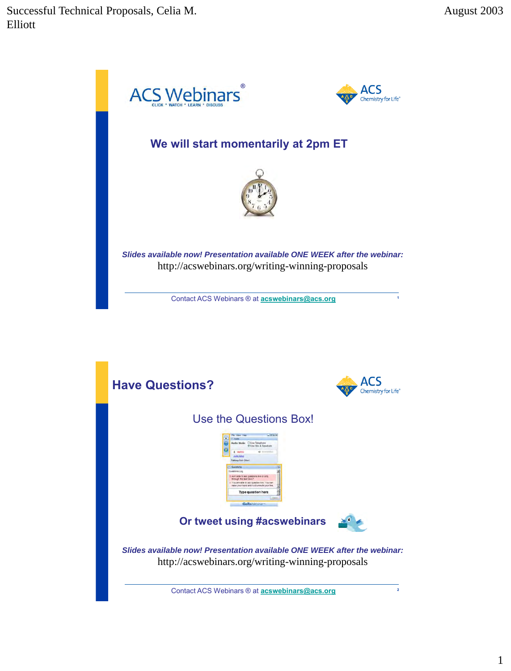

Contact ACS Webinars ® at **[acswebinars@acs.org](mailto:acswebinars@acs.org) <sup>2</sup>**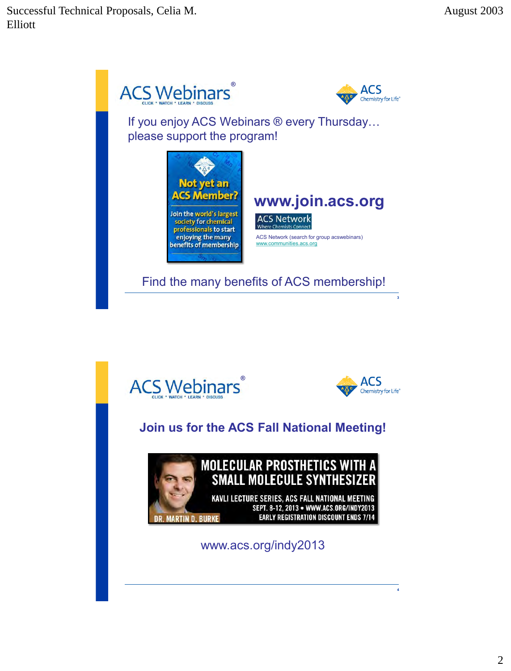





**4**

#### **Join us for the ACS Fall National Meeting!**



#### **MOLECULAR PROSTHETICS WITH A SMALL MOLECULE SYNTHESIZER**

KAVLI LECTURE SERIES, ACS FALL NATIONAL MEETING SEPT. 8-12, 2013 . WWW.ACS.ORG/INDY2013 **EARLY REGISTRATION DISCOUNT ENDS 7/14** 

www.acs.org/indy2013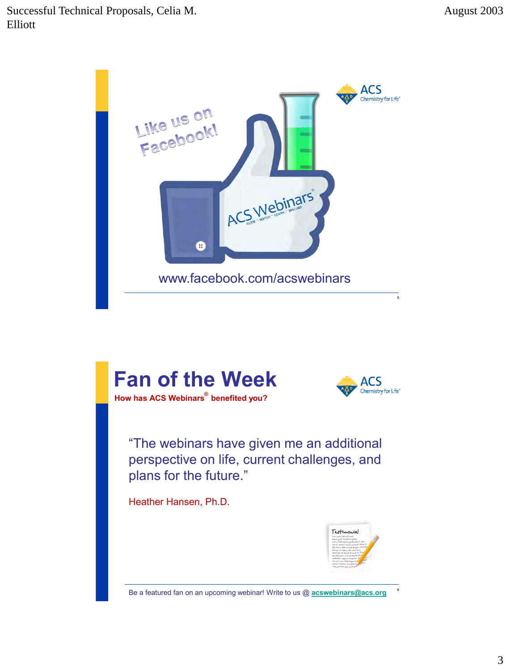

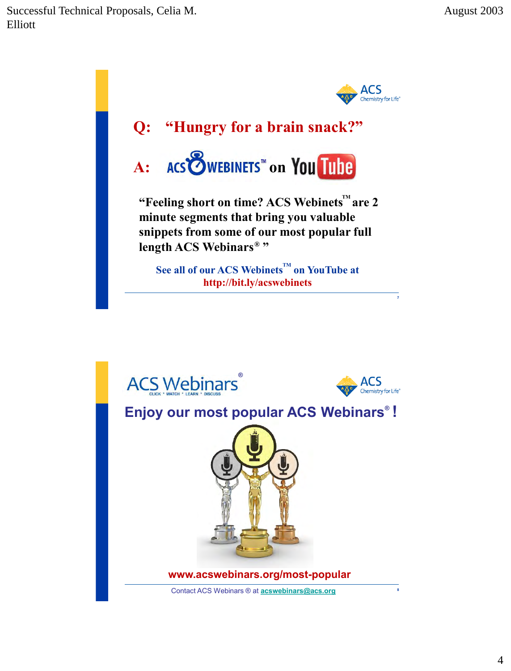

**www.acswebinars.org/most-popular**

Contact ACS Webinars ® at **[acswebinars@acs.org](mailto:acswebinars@acs.org)**

**8**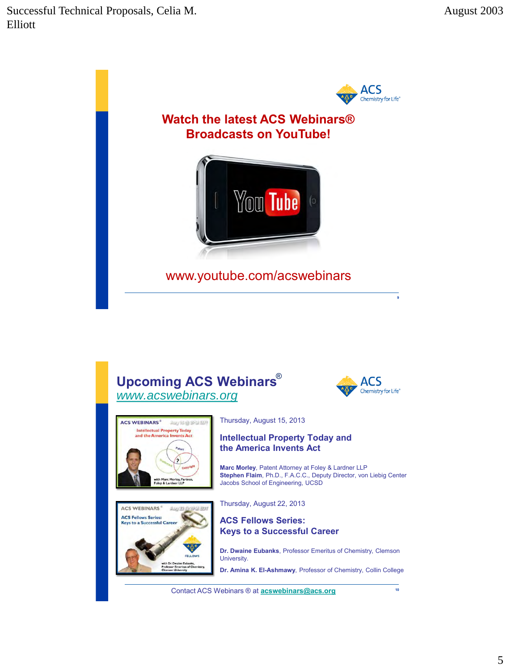

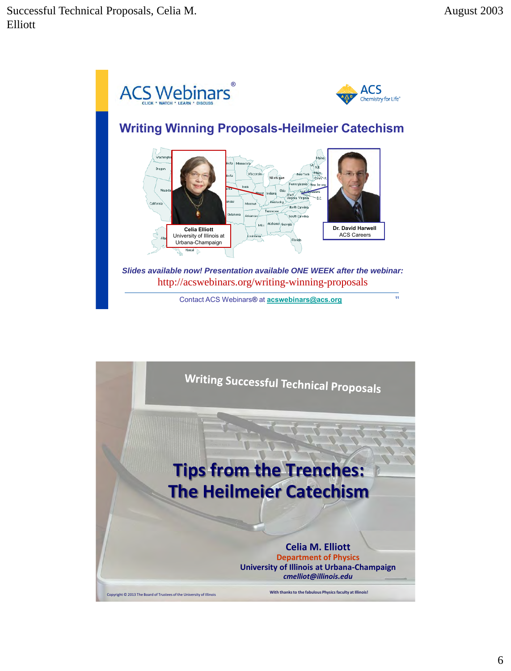

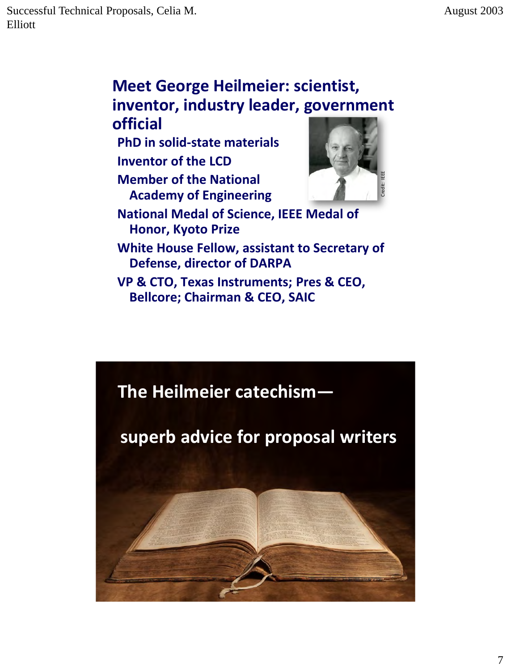#### **Meet George Heilmeier: scientist, inventor, industry leader, government official**

**PhD in solid-state materials Inventor of the LCD Member of the National Academy of Engineering**



**National Medal of Science, IEEE Medal of Honor, Kyoto Prize** 

**White House Fellow, assistant to Secretary of Defense, director of DARPA**

**VP & CTO, Texas Instruments; Pres & CEO, Bellcore; Chairman & CEO, SAIC** 

### **The Heilmeier catechism—**

### **superb advice for proposal writers**

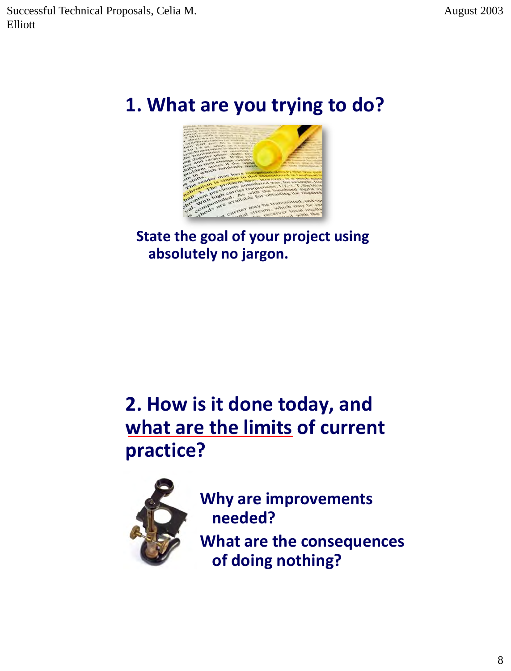## **1. What are you trying to do?**



### **State the goal of your project using absolutely no jargon.**

## **2. How is it done today, and what are the limits of current practice?**



**Why are improvements needed?** 

**What are the consequences of doing nothing?**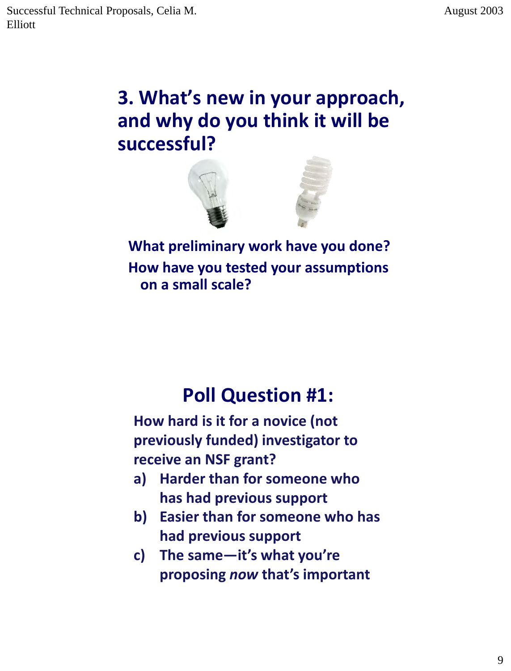## **3. What's new in your approach, and why do you think it will be successful?**



**What preliminary work have you done? How have you tested your assumptions on a small scale?**

## **Poll Question #1:**

**How hard is it for a novice (not previously funded) investigator to receive an NSF grant?**

- **a) Harder than for someone who has had previous support**
- **b) Easier than for someone who has had previous support**
- **c) The same—it's what you're proposing** *now* **that's important**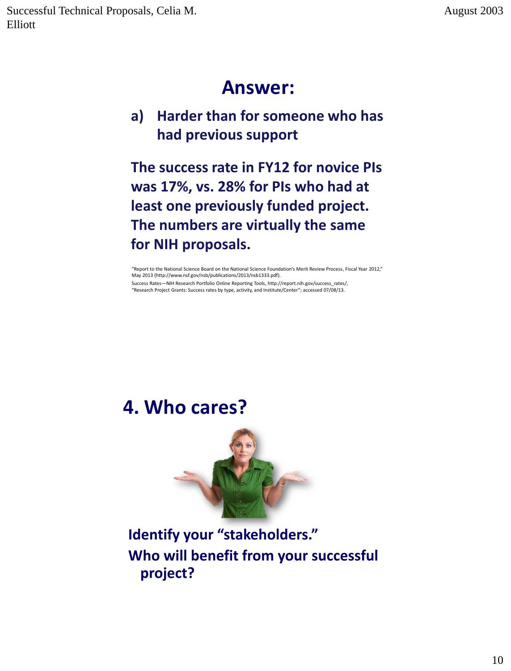### **Answer:**

#### **a) Harder than for someone who has had previous support**

**The success rate in FY12 for novice PIs was 17%, vs. 28% for PIs who had at least one previously funded project. The numbers are virtually the same for NIH proposals.** 

"Report to the National Science Board on the National Science Foundation's Merit Review Process, Fiscal Year 2012," May 2013 (http://www.nsf.gov/nsb/publications/2013/nsb1333.pdf). Success Rates—NIH Research Portfolio Online Reporting Tools, http://report.nih.gov/success\_rates/,

"Research Project Grants: Success rates by type, activity, and Institute/Center"; accessed 07/08/13.

### **4. Who cares?**



### **Identify your "stakeholders." Who will benefit from your successful project?**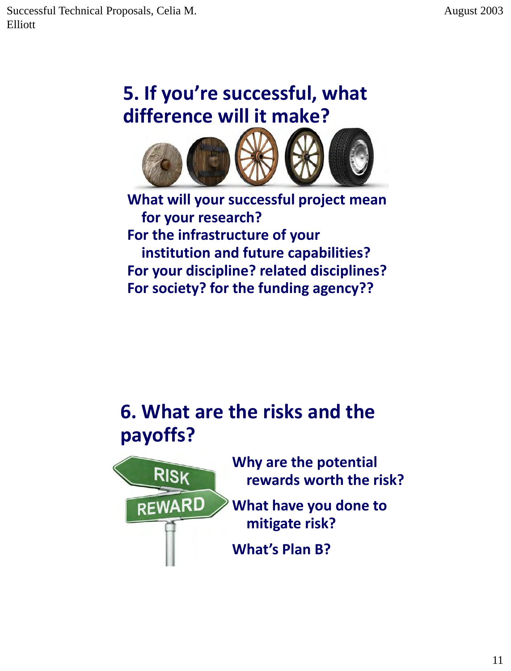# **5. If you're successful, what difference will it make?**



**What will your successful project mean for your research? For the infrastructure of your institution and future capabilities? For your discipline? related disciplines? For society? for the funding agency??**

## **6. What are the risks and the payoffs?**



**Why are the potential rewards worth the risk?**

**What have you done to mitigate risk?**

**What's Plan B?**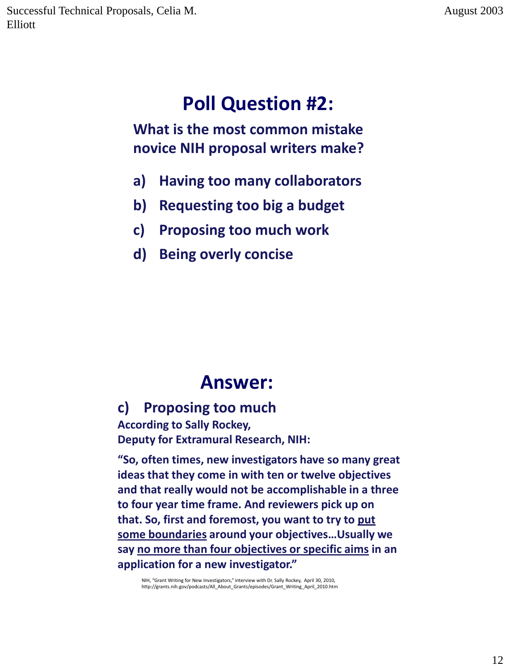# **Poll Question #2:**

**What is the most common mistake novice NIH proposal writers make?**

- **a) Having too many collaborators**
- **b) Requesting too big a budget**
- **c) Proposing too much work**
- **d) Being overly concise**

### **Answer:**

#### **c) Proposing too much**

**According to Sally Rockey, Deputy for Extramural Research, NIH:** 

**"So, often times, new investigators have so many great ideas that they come in with ten or twelve objectives and that really would not be accomplishable in a three to four year time frame. And reviewers pick up on that. So, first and foremost, you want to try to put some boundaries around your objectives…Usually we say no more than four objectives or specific aims in an application for a new investigator."** 

NIH, "Grant Writing for New Investigators," interview with Dr. Sally Rockey, April 30, 2010,<br>http://grants.nih.gov/podcasts/All\_About\_Grants/episodes/Grant\_Writing\_April\_2010.htm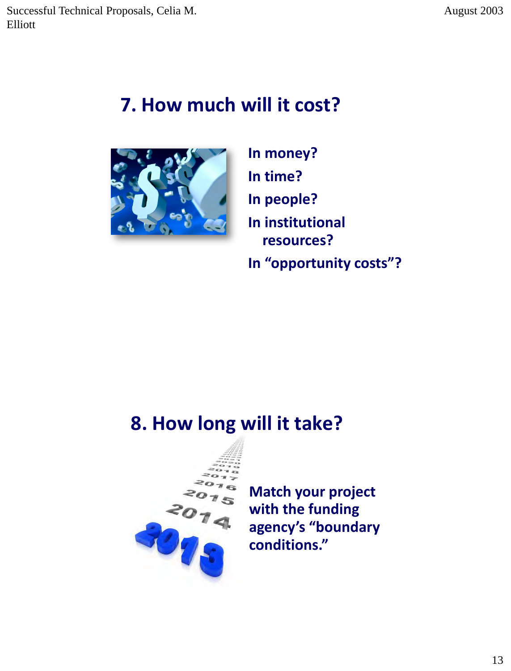### **7. How much will it cost?**



**In money? In time? In people? In institutional resources? In "opportunity costs"?**

### **8. How long will it take?**



**Match your project with the funding agency's "boundary conditions."**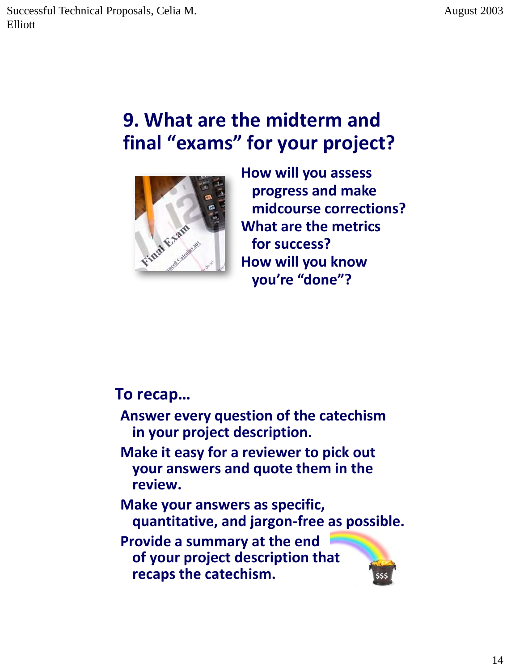## **9. What are the midterm and final "exams" for your project?**



**How will you assess progress and make midcourse corrections? What are the metrics for success? How will you know you're "done"?**

**\$\$\$**

#### **To recap…**

- **Answer every question of the catechism in your project description.**
- **Make it easy for a reviewer to pick out your answers and quote them in the review.**
- **Make your answers as specific, quantitative, and jargon-free as possible.**

**Provide a summary at the end of your project description that recaps the catechism.**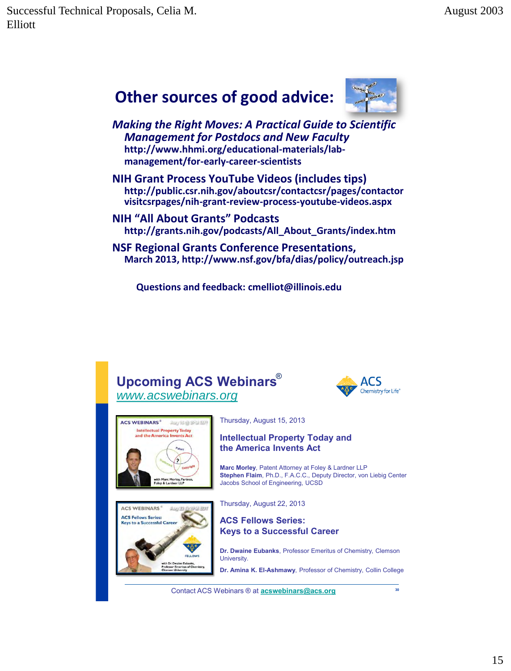### **Other sources of good advice:**



*Making the Right Moves: A Practical Guide to Scientific Management for Postdocs and New Faculty* **http://www.hhmi.org/educational-materials/labmanagement/for-early-career-scientists**

**NIH Grant Process YouTube Videos (includes tips) http://public.csr.nih.gov/aboutcsr/contactcsr/pages/contactor visitcsrpages/nih-grant-review-process-youtube-videos.aspx**

**NIH "All About Grants" Podcasts http://grants.nih.gov/podcasts/All\_About\_Grants/index.htm**

**NSF Regional Grants Conference Presentations, March 2013, http://www.nsf.gov/bfa/dias/policy/outreach.jsp**

 **Questions and feedback: cmelliot@illinois.edu**

#### **Upcoming ACS Webinars** ® *[www.acswebinars.org](http://www.acswebinars.org/)*





**ACS WEBINARS ACS Fellows Series** to a Successful Car Thursday, August 15, 2013

#### **Intellectual Property Today and the America Invents Act**

**Marc Morley**, Patent Attorney at Foley & Lardner LLP **Stephen Flaim**, Ph.D., F.A.C.C., Deputy Director, von Liebig Center Jacobs School of Engineering, UCSD

Thursday, August 22, 2013



**Dr. Dwaine Eubanks**, Professor Emeritus of Chemistry, Clemson University.

**Dr. Amina K. El-Ashmawy**, Professor of Chemistry, Collin College

Contact ACS Webinars ® at **[acswebinars@acs.org](mailto:acswebinars@acs.org)**

**30**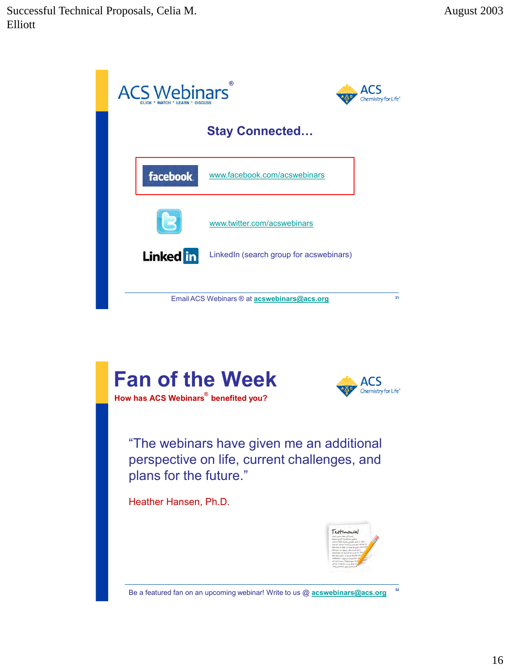

perspective on life, current challenges, and plans for the future."

Heather Hansen, Ph.D.



Be a featured fan on an upcoming webinar! Write to us @ **[acswebinars@acs.org](mailto:acswebinars@acs.org) 32**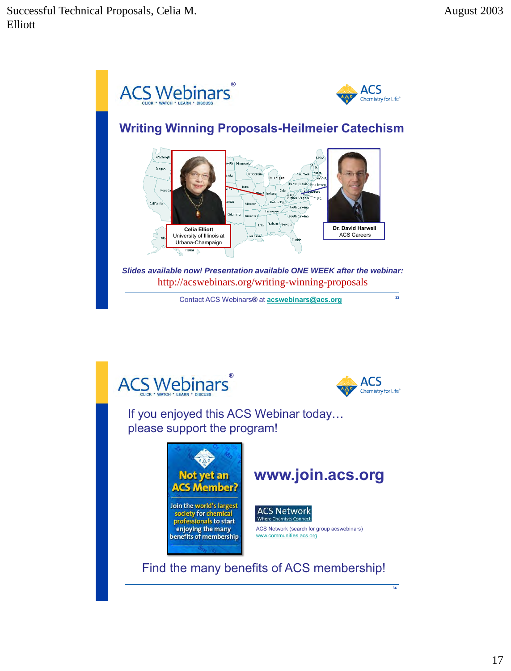





**34**

If you enjoyed this ACS Webinar today… please support the program!







ACS Network (search for group acswebinars) [www.communities.acs.org](http://www.communities.acs.org/)

Find the many benefits of ACS membership!